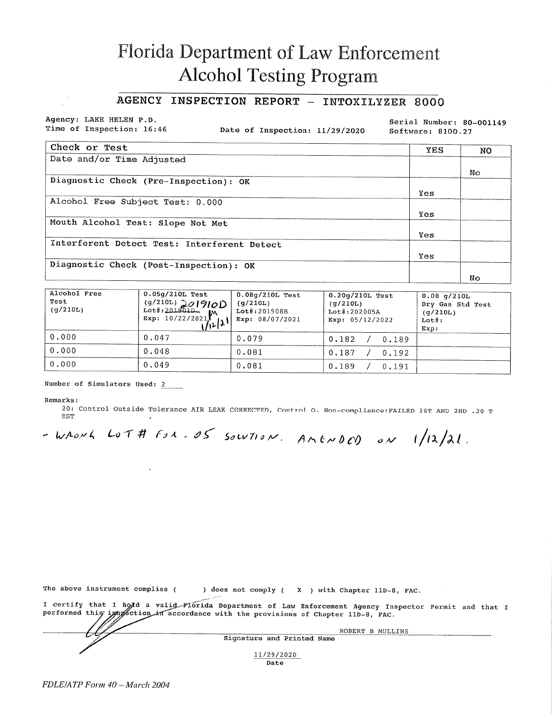# Florida Department of Law Enforcement **Alcohol Testing Program**

### AGENCY INSPECTION REPORT - INTOXILYZER 8000

Agency: LAKE HELEN P.D. Time of Inspection: 16:46

Date of Inspection: 11/29/2020

Serial Number: 80-001149 Software: 8100.27

| Check or Test                               | <b>YES</b> | NO  |
|---------------------------------------------|------------|-----|
| Date and/or Time Adjusted                   |            |     |
|                                             |            | No. |
| Diagnostic Check (Pre-Inspection): OK       |            |     |
|                                             | Yes        |     |
| Alcohol Free Subject Test: 0.000            |            |     |
|                                             | Yes        |     |
| Mouth Alcohol Test: Slope Not Met           |            |     |
|                                             | Yes        |     |
| Interferent Detect Test: Interferent Detect |            |     |
|                                             | Yes        |     |
| Diagnostic Check (Post-Inspection): OK      |            |     |
|                                             |            | No  |

| Alcohol Free<br>Test<br>(q/210L) | $0.05$ g/210L Test<br>$\begin{pmatrix} (g/210L) & 0 & 0 & 0 \\ \text{Lot+}.201901D & M \end{pmatrix}$<br>Exp: $10/22/2021$<br>/121 | $0.08q/210L$ Test<br>(q/210L)<br>$Lot$ #:201908B<br>Exp: 08/07/2021 | $0.20q/210L$ Test<br>(q/210L)<br>$Lot\$ : 202005A<br>Exp: $05/12/2022$ | $0.08$ q/210L<br>Dry Gas Std Test<br>(q/210L)<br>$Lot\$ :<br>Exp: |
|----------------------------------|------------------------------------------------------------------------------------------------------------------------------------|---------------------------------------------------------------------|------------------------------------------------------------------------|-------------------------------------------------------------------|
| 0.000                            | 0.047                                                                                                                              | 0.079                                                               | 0.182<br>0.189                                                         |                                                                   |
| 0.000                            | 0.048                                                                                                                              | 0.081                                                               | 0.187<br>0.192                                                         |                                                                   |
| 0.000                            | 0.049                                                                                                                              | 0.081                                                               | 0.189<br>0.191                                                         |                                                                   |

#### Number of Simulators Used: 2

#### Remarks:

20: Control Outside Tolerance AIR LEAK CORRECTED, Control O. Non-compliance: FAILED 1ST AND 2ND .20 T **EST** 

- WRONG LOT # FOR. OS SOLVIION. AMENDOD ON  $1/12/21$ .

The above instrument complies ( ) does not comply (X ) with Chapter 11D-8, FAC.

I certify that I hold a valid Florida Department of Law Enforcement Agency Inspector Permit and that I<br>performed this image ction in accordance with the provisions of Chapter 11D-8, FAC.

| ROBERT B MULLINS           |  |
|----------------------------|--|
| Signature and Printed Name |  |
| 11/29/2020<br>Date         |  |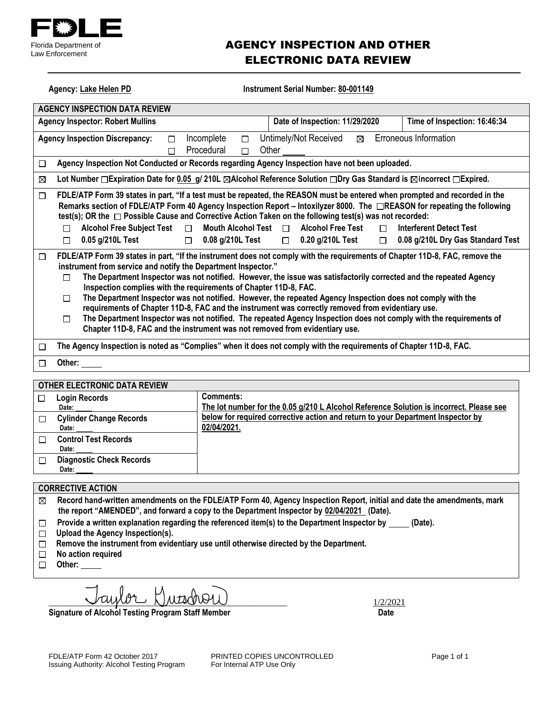

## AGENCY INSPECTION AND OTHER ELECTRONIC DATA REVIEW

Agency: Lake Helen PD **Instrument Serial Number: 80-001149** 

| <b>AGENCY INSPECTION DATA REVIEW</b>                                                                                                                                                                                                                                                                                                                                                                                                                                                                                                                                                                                                                                                                                                                                                                                                               |                                                                                                                                                                                                |  |  |  |
|----------------------------------------------------------------------------------------------------------------------------------------------------------------------------------------------------------------------------------------------------------------------------------------------------------------------------------------------------------------------------------------------------------------------------------------------------------------------------------------------------------------------------------------------------------------------------------------------------------------------------------------------------------------------------------------------------------------------------------------------------------------------------------------------------------------------------------------------------|------------------------------------------------------------------------------------------------------------------------------------------------------------------------------------------------|--|--|--|
| <b>Agency Inspector: Robert Mullins</b><br>Date of Inspection: 11/29/2020<br>Time of Inspection: 16:46:34                                                                                                                                                                                                                                                                                                                                                                                                                                                                                                                                                                                                                                                                                                                                          |                                                                                                                                                                                                |  |  |  |
| Erroneous Information<br>Untimely/Not Received<br><b>Agency Inspection Discrepancy:</b><br>Incomplete<br>⊠<br>□<br>□<br>Procedural<br>Other<br>$\Box$<br>$\Box$                                                                                                                                                                                                                                                                                                                                                                                                                                                                                                                                                                                                                                                                                    |                                                                                                                                                                                                |  |  |  |
| □                                                                                                                                                                                                                                                                                                                                                                                                                                                                                                                                                                                                                                                                                                                                                                                                                                                  | Agency Inspection Not Conducted or Records regarding Agency Inspection have not been uploaded.                                                                                                 |  |  |  |
| ⊠                                                                                                                                                                                                                                                                                                                                                                                                                                                                                                                                                                                                                                                                                                                                                                                                                                                  | Lot Number □ Expiration Date for 0.05 g/ 210L ⊠Alcohol Reference Solution □ Dry Gas Standard is ⊠Incorrect □ Expired.                                                                          |  |  |  |
| FDLE/ATP Form 39 states in part, "If a test must be repeated, the REASON must be entered when prompted and recorded in the<br>□<br>Remarks section of FDLE/ATP Form 40 Agency Inspection Report – Intoxilyzer 8000. The □REASON for repeating the following<br>test(s); OR the □ Possible Cause and Corrective Action Taken on the following test(s) was not recorded:<br><b>Alcohol Free Test</b><br><b>Alcohol Free Subject Test</b><br>Mouth Alcohol Test $\Box$<br><b>Interferent Detect Test</b><br>$\Box$<br>$\Box$<br>П<br>0.05 g/210L Test<br>$\Box$ 0.08 g/210L Test<br>$\Box$ 0.20 g/210L Test<br>0.08 g/210L Dry Gas Standard Test<br>$\Box$<br>$\Box$                                                                                                                                                                                  |                                                                                                                                                                                                |  |  |  |
| FDLE/ATP Form 39 states in part, "If the instrument does not comply with the requirements of Chapter 11D-8, FAC, remove the<br>□<br>instrument from service and notify the Department Inspector."<br>The Department Inspector was not notified. However, the issue was satisfactorily corrected and the repeated Agency<br>$\Box$<br>Inspection complies with the requirements of Chapter 11D-8, FAC.<br>The Department Inspector was not notified. However, the repeated Agency Inspection does not comply with the<br>$\Box$<br>requirements of Chapter 11D-8, FAC and the instrument was correctly removed from evidentiary use.<br>The Department Inspector was not notified. The repeated Agency Inspection does not comply with the requirements of<br>$\Box$<br>Chapter 11D-8, FAC and the instrument was not removed from evidentiary use. |                                                                                                                                                                                                |  |  |  |
| The Agency Inspection is noted as "Complies" when it does not comply with the requirements of Chapter 11D-8, FAC.<br>П                                                                                                                                                                                                                                                                                                                                                                                                                                                                                                                                                                                                                                                                                                                             |                                                                                                                                                                                                |  |  |  |
| Other:<br>□                                                                                                                                                                                                                                                                                                                                                                                                                                                                                                                                                                                                                                                                                                                                                                                                                                        |                                                                                                                                                                                                |  |  |  |
| OTHER ELECTRONIC DATA REVIEW                                                                                                                                                                                                                                                                                                                                                                                                                                                                                                                                                                                                                                                                                                                                                                                                                       |                                                                                                                                                                                                |  |  |  |
| <b>Login Records</b><br>$\Box$<br>Date:<br><b>Cylinder Change Records</b><br>□                                                                                                                                                                                                                                                                                                                                                                                                                                                                                                                                                                                                                                                                                                                                                                     | <b>Comments:</b><br>The lot number for the 0.05 g/210 L Alcohol Reference Solution is incorrect. Please see<br>below for required corrective action and return to your Department Inspector by |  |  |  |
| 02/04/2021.<br>Date:                                                                                                                                                                                                                                                                                                                                                                                                                                                                                                                                                                                                                                                                                                                                                                                                                               |                                                                                                                                                                                                |  |  |  |
| <b>Control Test Records</b><br>□<br>Date:                                                                                                                                                                                                                                                                                                                                                                                                                                                                                                                                                                                                                                                                                                                                                                                                          |                                                                                                                                                                                                |  |  |  |
| <b>Diagnostic Check Records</b><br>$\Box$<br>Date:                                                                                                                                                                                                                                                                                                                                                                                                                                                                                                                                                                                                                                                                                                                                                                                                 |                                                                                                                                                                                                |  |  |  |
| <b>CORRECTIVE ACTION</b>                                                                                                                                                                                                                                                                                                                                                                                                                                                                                                                                                                                                                                                                                                                                                                                                                           |                                                                                                                                                                                                |  |  |  |

- **Record hand-written amendments on the FDLE/ATP Form 40, Agency Inspection Report, initial and date the amendments, mark**   $\boxtimes$ **the report "AMENDED", and forward a copy to the Department Inspector by 02/04/2021 (Date).**
- Provide a written explanation regarding the referenced item(s) to the Department Inspector by \_\_\_\_\_(Date).  $\Box$
- **Upload the Agency Inspection(s).**
- **Remove the instrument from evidentiary use until otherwise directed by the Department.**
- **No action required**  $\Box$
- **Other:**

 $\chi$ utdr $\Theta$ U

Signature of Alcohol Testing Program Staff Member **Date 19th Contact Contact Contact Contact Contact Contact Contact Contact Contact Contact Contact Contact Contact Contact Contact Contact Contact Contact Contact Contact C**